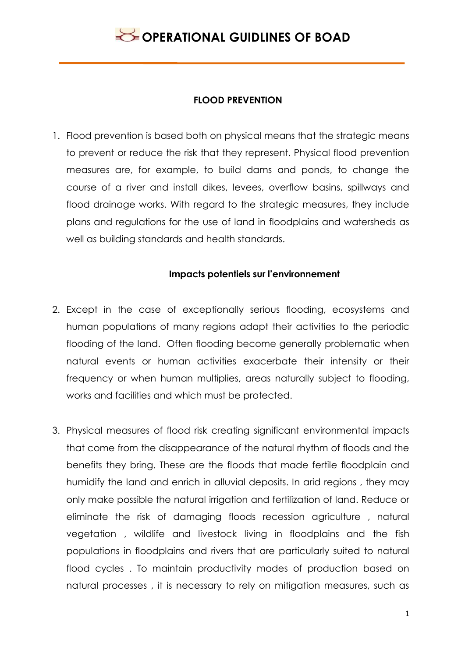#### **FLOOD PREVENTION**

1. Flood prevention is based both on physical means that the strategic means to prevent or reduce the risk that they represent. Physical flood prevention measures are, for example, to build dams and ponds, to change the course of a river and install dikes, levees, overflow basins, spillways and flood drainage works. With regard to the strategic measures, they include plans and regulations for the use of land in floodplains and watersheds as well as building standards and health standards.

### **Impacts potentiels sur l'environnement**

- 2. Except in the case of exceptionally serious flooding, ecosystems and human populations of many regions adapt their activities to the periodic flooding of the land. Often flooding become generally problematic when natural events or human activities exacerbate their intensity or their frequency or when human multiplies, areas naturally subject to flooding, works and facilities and which must be protected.
- 3. Physical measures of flood risk creating significant environmental impacts that come from the disappearance of the natural rhythm of floods and the benefits they bring. These are the floods that made fertile floodplain and humidify the land and enrich in alluvial deposits. In arid regions , they may only make possible the natural irrigation and fertilization of land. Reduce or eliminate the risk of damaging floods recession agriculture , natural vegetation , wildlife and livestock living in floodplains and the fish populations in floodplains and rivers that are particularly suited to natural flood cycles . To maintain productivity modes of production based on natural processes , it is necessary to rely on mitigation measures, such as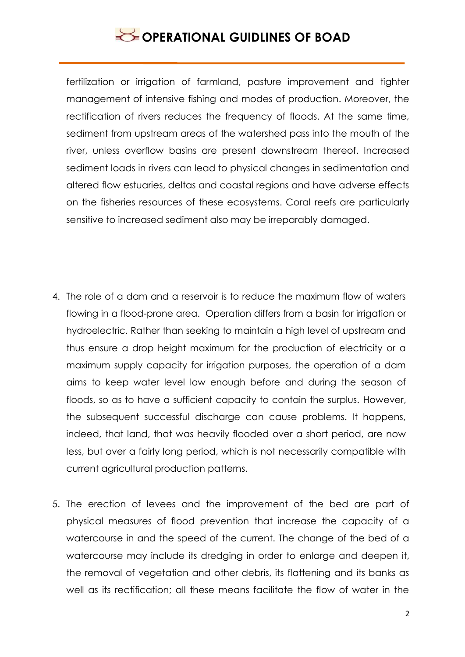fertilization or irrigation of farmland, pasture improvement and tighter management of intensive fishing and modes of production. Moreover, the rectification of rivers reduces the frequency of floods. At the same time, sediment from upstream areas of the watershed pass into the mouth of the river, unless overflow basins are present downstream thereof. Increased sediment loads in rivers can lead to physical changes in sedimentation and altered flow estuaries, deltas and coastal regions and have adverse effects on the fisheries resources of these ecosystems. Coral reefs are particularly sensitive to increased sediment also may be irreparably damaged.

- 4. The role of a dam and a reservoir is to reduce the maximum flow of waters flowing in a flood-prone area. Operation differs from a basin for irrigation or hydroelectric. Rather than seeking to maintain a high level of upstream and thus ensure a drop height maximum for the production of electricity or a maximum supply capacity for irrigation purposes, the operation of a dam aims to keep water level low enough before and during the season of floods, so as to have a sufficient capacity to contain the surplus. However, the subsequent successful discharge can cause problems. It happens, indeed, that land, that was heavily flooded over a short period, are now less, but over a fairly long period, which is not necessarily compatible with current agricultural production patterns.
- 5. The erection of levees and the improvement of the bed are part of physical measures of flood prevention that increase the capacity of a watercourse in and the speed of the current. The change of the bed of a watercourse may include its dredging in order to enlarge and deepen it, the removal of vegetation and other debris, its flattening and its banks as well as its rectification; all these means facilitate the flow of water in the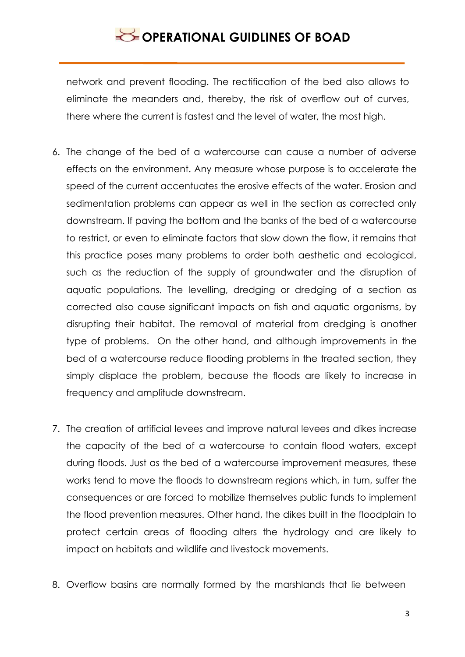network and prevent flooding. The rectification of the bed also allows to eliminate the meanders and, thereby, the risk of overflow out of curves, there where the current is fastest and the level of water, the most high.

- 6. The change of the bed of a watercourse can cause a number of adverse effects on the environment. Any measure whose purpose is to accelerate the speed of the current accentuates the erosive effects of the water. Erosion and sedimentation problems can appear as well in the section as corrected only downstream. If paving the bottom and the banks of the bed of a watercourse to restrict, or even to eliminate factors that slow down the flow, it remains that this practice poses many problems to order both aesthetic and ecological, such as the reduction of the supply of groundwater and the disruption of aquatic populations. The levelling, dredging or dredging of a section as corrected also cause significant impacts on fish and aquatic organisms, by disrupting their habitat. The removal of material from dredging is another type of problems. On the other hand, and although improvements in the bed of a watercourse reduce flooding problems in the treated section, they simply displace the problem, because the floods are likely to increase in frequency and amplitude downstream.
- 7. The creation of artificial levees and improve natural levees and dikes increase the capacity of the bed of a watercourse to contain flood waters, except during floods. Just as the bed of a watercourse improvement measures, these works tend to move the floods to downstream regions which, in turn, suffer the consequences or are forced to mobilize themselves public funds to implement the flood prevention measures. Other hand, the dikes built in the floodplain to protect certain areas of flooding alters the hydrology and are likely to impact on habitats and wildlife and livestock movements.
- 8. Overflow basins are normally formed by the marshlands that lie between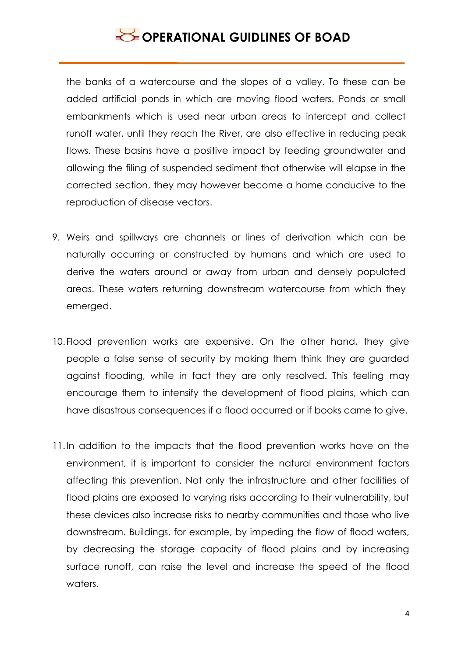the banks of a watercourse and the slopes of a valley. To these can be added artificial ponds in which are moving flood waters. Ponds or small embankments which is used near urban areas to intercept and collect runoff water, until they reach the River, are also effective in reducing peak flows. These basins have a positive impact by feeding groundwater and allowing the filing of suspended sediment that otherwise will elapse in the corrected section, they may however become a home conducive to the reproduction of disease vectors.

- 9. Weirs and spillways are channels or lines of derivation which can be naturally occurring or constructed by humans and which are used to derive the waters around or away from urban and densely populated areas. These waters returning downstream watercourse from which they emerged.
- 10.Flood prevention works are expensive. On the other hand, they give people a false sense of security by making them think they are guarded against flooding, while in fact they are only resolved. This feeling may encourage them to intensify the development of flood plains, which can have disastrous consequences if a flood occurred or if books came to give.
- 11.In addition to the impacts that the flood prevention works have on the environment, it is important to consider the natural environment factors affecting this prevention. Not only the infrastructure and other facilities of flood plains are exposed to varying risks according to their vulnerability, but these devices also increase risks to nearby communities and those who live downstream. Buildings, for example, by impeding the flow of flood waters, by decreasing the storage capacity of flood plains and by increasing surface runoff, can raise the level and increase the speed of the flood waters.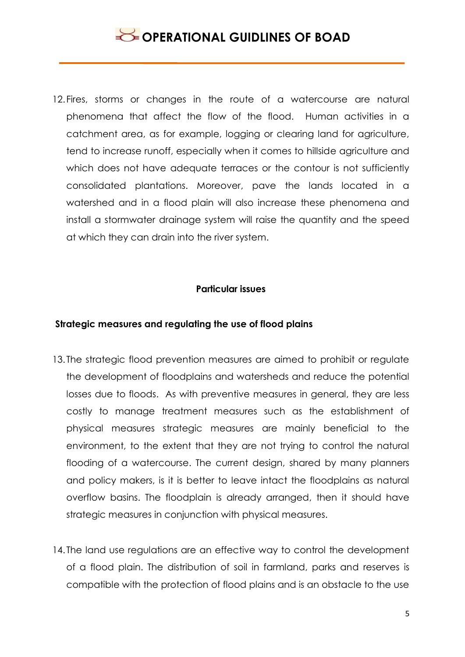12.Fires, storms or changes in the route of a watercourse are natural phenomena that affect the flow of the flood. Human activities in a catchment area, as for example, logging or clearing land for agriculture, tend to increase runoff, especially when it comes to hillside agriculture and which does not have adequate terraces or the contour is not sufficiently consolidated plantations. Moreover, pave the lands located in a watershed and in a flood plain will also increase these phenomena and install a stormwater drainage system will raise the quantity and the speed at which they can drain into the river system.

#### **Particular issues**

#### **Strategic measures and regulating the use of flood plains**

- 13. The strategic flood prevention measures are aimed to prohibit or regulate the development of floodplains and watersheds and reduce the potential losses due to floods. As with preventive measures in general, they are less costly to manage treatment measures such as the establishment of physical measures strategic measures are mainly beneficial to the environment, to the extent that they are not trying to control the natural flooding of a watercourse. The current design, shared by many planners and policy makers, is it is better to leave intact the floodplains as natural overflow basins. The floodplain is already arranged, then it should have strategic measures in conjunction with physical measures.
- 14. The land use regulations are an effective way to control the development of a flood plain. The distribution of soil in farmland, parks and reserves is compatible with the protection of flood plains and is an obstacle to the use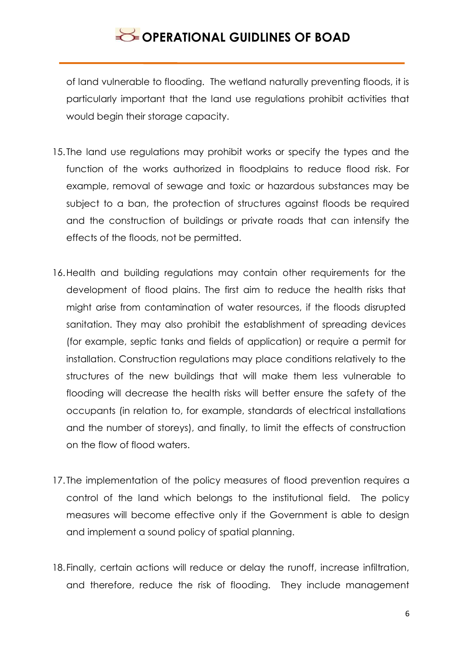of land vulnerable to flooding. The wetland naturally preventing floods, it is particularly important that the land use regulations prohibit activities that would begin their storage capacity.

- 15. The land use regulations may prohibit works or specify the types and the function of the works authorized in floodplains to reduce flood risk. For example, removal of sewage and toxic or hazardous substances may be subject to a ban, the protection of structures against floods be required and the construction of buildings or private roads that can intensify the effects of the floods, not be permitted.
- 16.Health and building regulations may contain other requirements for the development of flood plains. The first aim to reduce the health risks that might arise from contamination of water resources, if the floods disrupted sanitation. They may also prohibit the establishment of spreading devices (for example, septic tanks and fields of application) or require a permit for installation. Construction regulations may place conditions relatively to the structures of the new buildings that will make them less vulnerable to flooding will decrease the health risks will better ensure the safety of the occupants (in relation to, for example, standards of electrical installations and the number of storeys), and finally, to limit the effects of construction on the flow of flood waters.
- 17. The implementation of the policy measures of flood prevention requires a control of the land which belongs to the institutional field. The policy measures will become effective only if the Government is able to design and implement a sound policy of spatial planning.
- 18.Finally, certain actions will reduce or delay the runoff, increase infiltration, and therefore, reduce the risk of flooding. They include management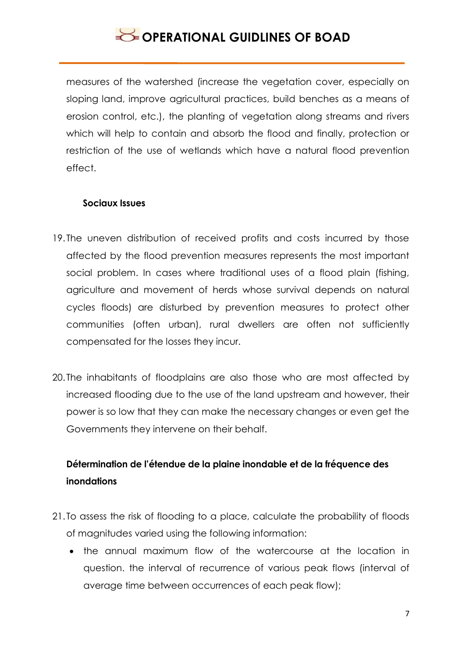measures of the watershed (increase the vegetation cover, especially on sloping land, improve agricultural practices, build benches as a means of erosion control, etc.), the planting of vegetation along streams and rivers which will help to contain and absorb the flood and finally, protection or restriction of the use of wetlands which have a natural flood prevention effect.

#### **Sociaux Issues**

- 19. The uneven distribution of received profits and costs incurred by those affected by the flood prevention measures represents the most important social problem. In cases where traditional uses of a flood plain (fishing, agriculture and movement of herds whose survival depends on natural cycles floods) are disturbed by prevention measures to protect other communities (often urban), rural dwellers are often not sufficiently compensated for the losses they incur.
- 20. The inhabitants of floodplains are also those who are most affected by increased flooding due to the use of the land upstream and however, their power is so low that they can make the necessary changes or even get the Governments they intervene on their behalf.

### **Détermination de l'étendue de la plaine inondable et de la fréquence des inondations**

- 21. To assess the risk of flooding to a place, calculate the probability of floods of magnitudes varied using the following information:
	- the annual maximum flow of the watercourse at the location in question. the interval of recurrence of various peak flows (interval of average time between occurrences of each peak flow);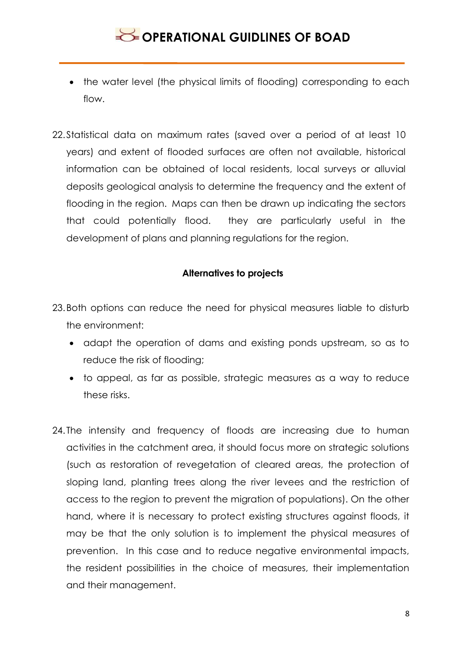- the water level (the physical limits of flooding) corresponding to each flow.
- 22.Statistical data on maximum rates (saved over a period of at least 10 years) and extent of flooded surfaces are often not available, historical information can be obtained of local residents, local surveys or alluvial deposits geological analysis to determine the frequency and the extent of flooding in the region. Maps can then be drawn up indicating the sectors that could potentially flood. they are particularly useful in the development of plans and planning regulations for the region.

### **Alternatives to projects**

- 23.Both options can reduce the need for physical measures liable to disturb the environment:
	- adapt the operation of dams and existing ponds upstream, so as to reduce the risk of flooding;
	- to appeal, as far as possible, strategic measures as a way to reduce these risks.
- 24. The intensity and frequency of floods are increasing due to human activities in the catchment area, it should focus more on strategic solutions (such as restoration of revegetation of cleared areas, the protection of sloping land, planting trees along the river levees and the restriction of access to the region to prevent the migration of populations). On the other hand, where it is necessary to protect existing structures against floods, it may be that the only solution is to implement the physical measures of prevention. In this case and to reduce negative environmental impacts, the resident possibilities in the choice of measures, their implementation and their management.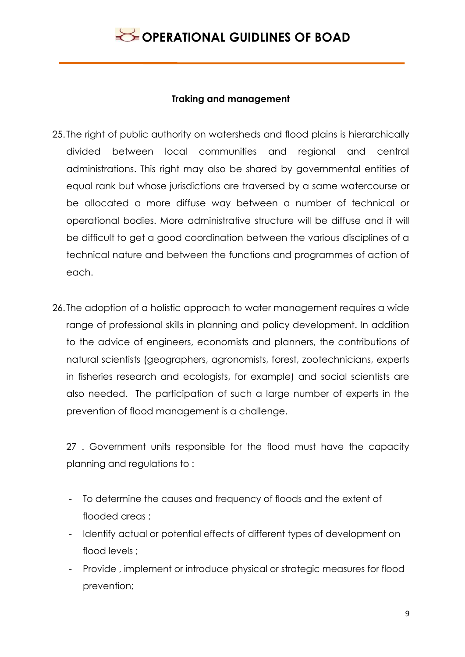### **Traking and management**

- 25. The right of public authority on watersheds and flood plains is hierarchically divided between local communities and regional and central administrations. This right may also be shared by governmental entities of equal rank but whose jurisdictions are traversed by a same watercourse or be allocated a more diffuse way between a number of technical or operational bodies. More administrative structure will be diffuse and it will be difficult to get a good coordination between the various disciplines of a technical nature and between the functions and programmes of action of each.
- 26. The adoption of a holistic approach to water management requires a wide range of professional skills in planning and policy development. In addition to the advice of engineers, economists and planners, the contributions of natural scientists (geographers, agronomists, forest, zootechnicians, experts in fisheries research and ecologists, for example) and social scientists are also needed. The participation of such a large number of experts in the prevention of flood management is a challenge.

27 . Government units responsible for the flood must have the capacity planning and regulations to :

- To determine the causes and frequency of floods and the extent of flooded areas ;
- Identify actual or potential effects of different types of development on flood levels ;
- Provide , implement or introduce physical or strategic measures for flood prevention;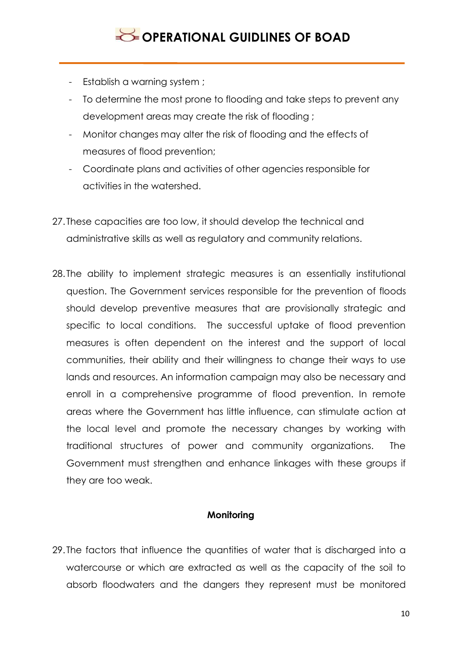- Establish a warning system ;
- To determine the most prone to flooding and take steps to prevent any development areas may create the risk of flooding ;
- Monitor changes may alter the risk of flooding and the effects of measures of flood prevention;
- Coordinate plans and activities of other agencies responsible for activities in the watershed.
- 27. These capacities are too low, it should develop the technical and administrative skills as well as regulatory and community relations.
- 28. The ability to implement strategic measures is an essentially institutional question. The Government services responsible for the prevention of floods should develop preventive measures that are provisionally strategic and specific to local conditions. The successful uptake of flood prevention measures is often dependent on the interest and the support of local communities, their ability and their willingness to change their ways to use lands and resources. An information campaign may also be necessary and enroll in a comprehensive programme of flood prevention. In remote areas where the Government has little influence, can stimulate action at the local level and promote the necessary changes by working with traditional structures of power and community organizations. The Government must strengthen and enhance linkages with these groups if they are too weak.

#### **Monitoring**

29. The factors that influence the quantities of water that is discharged into a watercourse or which are extracted as well as the capacity of the soil to absorb floodwaters and the dangers they represent must be monitored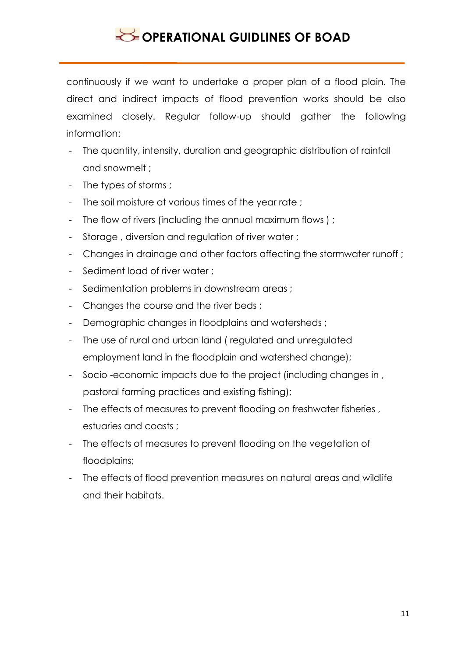continuously if we want to undertake a proper plan of a flood plain. The direct and indirect impacts of flood prevention works should be also examined closely. Regular follow-up should gather the following information:

- The quantity, intensity, duration and geographic distribution of rainfall and snowmelt ;
- The types of storms ;
- The soil moisture at various times of the year rate ;
- The flow of rivers (including the annual maximum flows);
- Storage , diversion and regulation of river water ;
- Changes in drainage and other factors affecting the stormwater runoff ;
- Sediment load of river water ;
- Sedimentation problems in downstream areas ;
- Changes the course and the river beds :
- Demographic changes in floodplains and watersheds ;
- The use of rural and urban land ( regulated and unregulated employment land in the floodplain and watershed change);
- Socio -economic impacts due to the project (including changes in , pastoral farming practices and existing fishing);
- The effects of measures to prevent flooding on freshwater fisheries, estuaries and coasts ;
- The effects of measures to prevent flooding on the vegetation of floodplains;
- The effects of flood prevention measures on natural areas and wildlife and their habitats.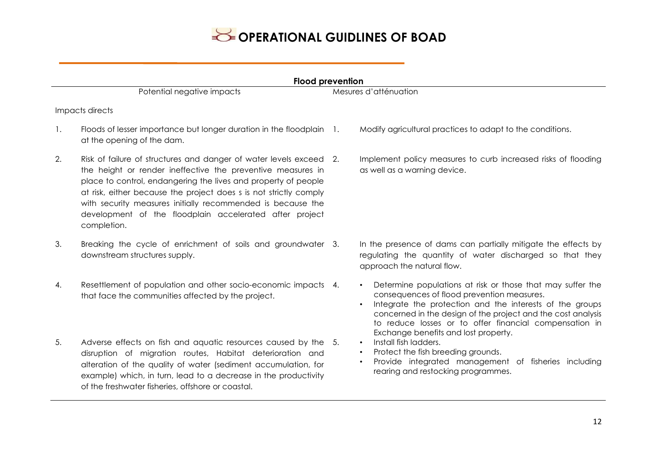#### **Flood prevention**

Potential negative impacts<br>
Mesures d'atténuation

#### Impacts directs

- 1. Floods of lesser importance but longer duration in the floodplain 1. at the opening of the dam.
- 2. Risk of failure of structures and danger of water levels exceed 2. the height or render ineffective the preventive measures in place to control, endangering the lives and property of people at risk, either because the project does s is not strictly comply with security measures initially recommended is because the development of the floodplain accelerated after project completion.
- 3. Breaking the cycle of enrichment of soils and groundwater 3. downstream structures supply.
- 4. Resettlement of population and other socio-economic impacts 4. that face the communities affected by the project.
- 5. Adverse effects on fish and aquatic resources caused by the disruption of migration routes, Habitat deterioration and alteration of the quality of water (sediment accumulation, for example) which, in turn, lead to a decrease in the productivity of the freshwater fisheries, offshore or coastal.
- 1. Modify agricultural practices to adapt to the conditions.
- Implement policy measures to curb increased risks of flooding as well as a warning device.

In the presence of dams can partially mitigate the effects by regulating the quantity of water discharged so that they approach the natural flow.

- Determine populations at risk or those that may suffer the consequences of flood prevention measures.
- Integrate the protection and the interests of the groups concerned in the design of the project and the cost analysis to reduce losses or to offer financial compensation in Exchange benefits and lost property.
- Install fish ladders.
- Protect the fish breeding grounds.
- Provide integrated management of fisheries including rearing and restocking programmes.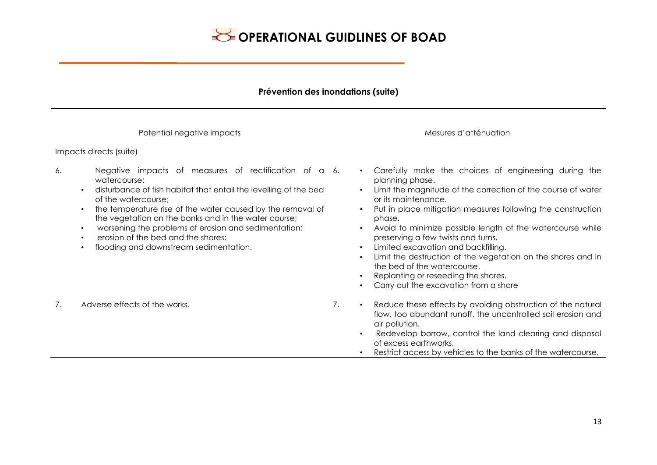#### **Prévention des inondations (suite)**

Potential negative impacts and attenuation and attenuation mesures d'atténuation Impacts directs (suite) 6. Negative impacts of measures of rectification of a watercourse: • disturbance of fish habitat that entail the levelling of the bed of the watercourse; • the temperature rise of the water caused by the removal of the vegetation on the banks and in the water course; • worsening the problems of erosion and sedimentation; • erosion of the bed and the shores; • flooding and downstream sedimentation. • Carefully make the choices of engineering during the planning phase. • Limit the magnitude of the correction of the course of water or its maintenance. • Put in place mitigation measures following the construction phase. • Avoid to minimize possible length of the watercourse while preserving a few twists and turns. • Limited excavation and backfilling. • Limit the destruction of the vegetation on the shores and in the bed of the watercourse. • Replanting or reseeding the shores. • Carry out the excavation from a shore 7. Adverse effects of the works. 7. • Reduce these effects by avoiding obstruction of the natural flow, too abundant runoff, the uncontrolled soil erosion and air pollution. • Redevelop borrow, control the land clearing and disposal of excess earthworks. • Restrict access by vehicles to the banks of the watercourse.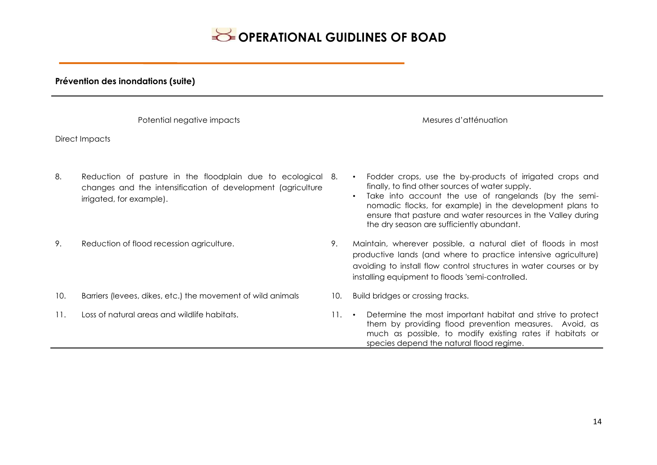#### **Prévention des inondations (suite)**

| Potential negative impacts |                                                                                                                                                        |                 | Mesures d'atténuation                                                                                                                                                                                                                                                                                                                         |  |  |  |
|----------------------------|--------------------------------------------------------------------------------------------------------------------------------------------------------|-----------------|-----------------------------------------------------------------------------------------------------------------------------------------------------------------------------------------------------------------------------------------------------------------------------------------------------------------------------------------------|--|--|--|
| Direct Impacts             |                                                                                                                                                        |                 |                                                                                                                                                                                                                                                                                                                                               |  |  |  |
| 8.                         | Reduction of pasture in the floodplain due to ecological 8.<br>changes and the intensification of development (agriculture<br>irrigated, for example). |                 | Fodder crops, use the by-products of irrigated crops and<br>finally, to find other sources of water supply.<br>Take into account the use of rangelands (by the semi-<br>nomadic flocks, for example) in the development plans to<br>ensure that pasture and water resources in the Valley during<br>the dry season are sufficiently abundant. |  |  |  |
| 9.                         | Reduction of flood recession agriculture.                                                                                                              | 9.              | Maintain, wherever possible, a natural diet of floods in most<br>productive lands (and where to practice intensive agriculture)<br>avoiding to install flow control structures in water courses or by<br>installing equipment to floods 'semi-controlled.                                                                                     |  |  |  |
| 10.                        | Barriers (levees, dikes, etc.) the movement of wild animals                                                                                            | 10.             | Build bridges or crossing tracks.                                                                                                                                                                                                                                                                                                             |  |  |  |
| 11.                        | Loss of natural areas and wildlife habitats.                                                                                                           | $11.$ $\bullet$ | Determine the most important habitat and strive to protect<br>them by providing flood prevention measures. Avoid, as<br>much as possible, to modify existing rates if habitats or<br>species depend the natural flood regime.                                                                                                                 |  |  |  |